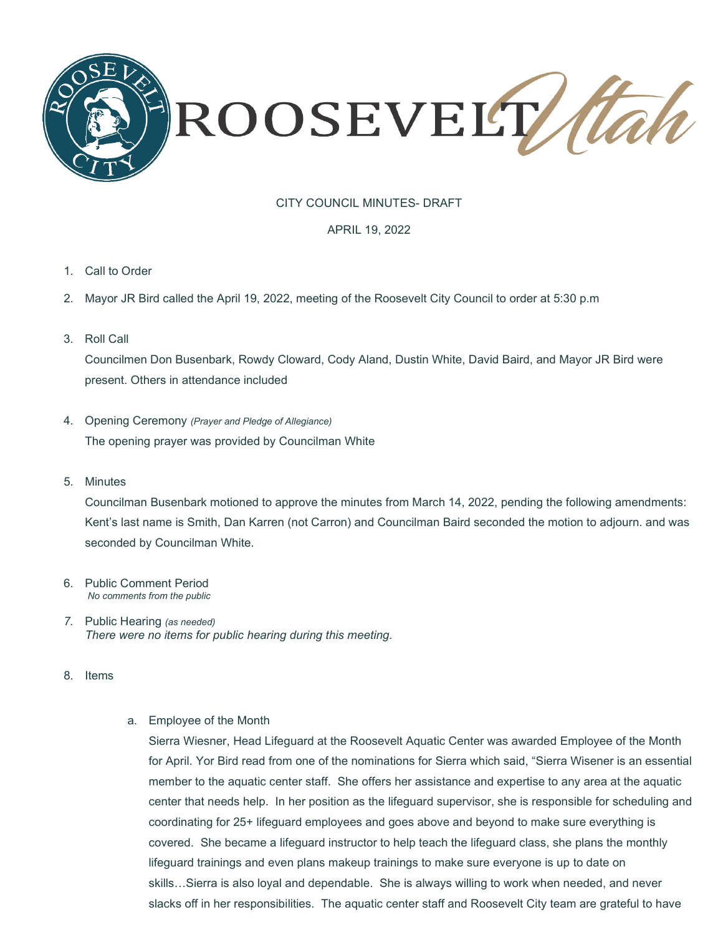

# CITY COUNCIL MINUTES- DRAFT

#### APRIL 19, 2022

- 1. Call to Order
- 2. Mayor JR Bird called the April 19, 2022, meeting of the Roosevelt City Council to order at 5:30 p.m
- 3. Roll Call

Councilmen Don Busenbark, Rowdy Cloward, Cody Aland, Dustin White, David Baird, and Mayor JR Bird were present. Others in attendance included

- 4. Opening Ceremony *(Prayer and Pledge of Allegiance)* The opening prayer was provided by Councilman White
- 5. Minutes

Councilman Busenbark motioned to approve the minutes from March 14, 2022, pending the following amendments: Kent's last name is Smith, Dan Karren (not Carron) and Councilman Baird seconded the motion to adjourn. and was seconded by Councilman White.

- 6. Public Comment Period *No comments from the public*
- *7.* Public Hearing *(as needed) There were no items for public hearing during this meeting.*
- 8. Items
- a. Employee of the Month

Sierra Wiesner, Head Lifeguard at the Roosevelt Aquatic Center was awarded Employee of the Month for April. Yor Bird read from one of the nominations for Sierra which said, "Sierra Wisener is an essential member to the aquatic center staff. She offers her assistance and expertise to any area at the aquatic center that needs help. In her position as the lifeguard supervisor, she is responsible for scheduling and coordinating for 25+ lifeguard employees and goes above and beyond to make sure everything is covered. She became a lifeguard instructor to help teach the lifeguard class, she plans the monthly lifeguard trainings and even plans makeup trainings to make sure everyone is up to date on skills…Sierra is also loyal and dependable. She is always willing to work when needed, and never slacks off in her responsibilities. The aquatic center staff and Roosevelt City team are grateful to have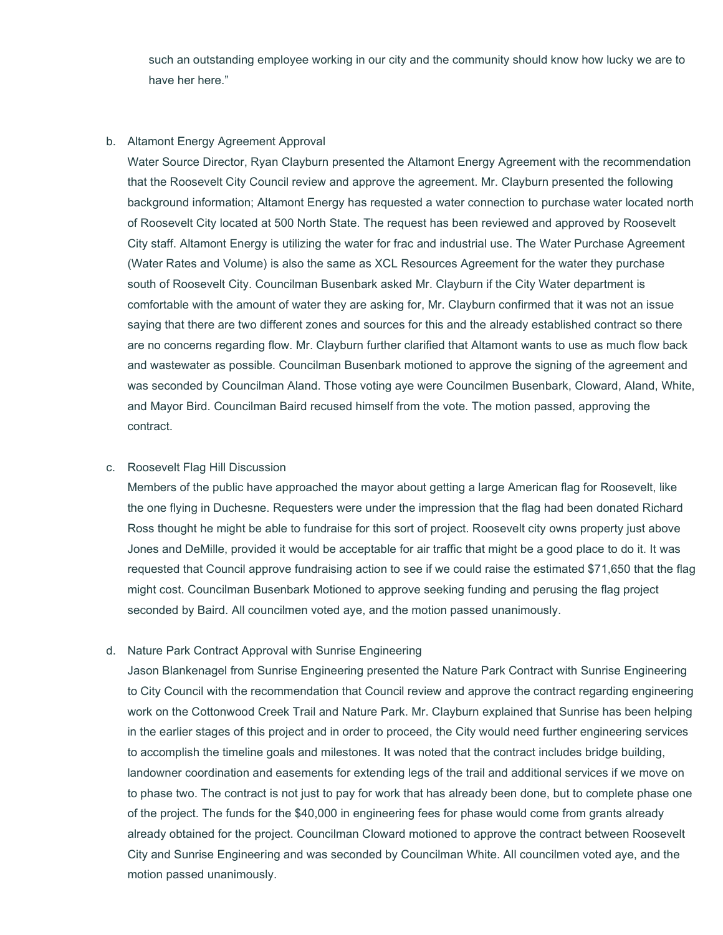such an outstanding employee working in our city and the community should know how lucky we are to have her here."

#### b. Altamont Energy Agreement Approval

Water Source Director, Ryan Clayburn presented the Altamont Energy Agreement with the recommendation that the Roosevelt City Council review and approve the agreement. Mr. Clayburn presented the following background information; Altamont Energy has requested a water connection to purchase water located north of Roosevelt City located at 500 North State. The request has been reviewed and approved by Roosevelt City staff. Altamont Energy is utilizing the water for frac and industrial use. The Water Purchase Agreement (Water Rates and Volume) is also the same as XCL Resources Agreement for the water they purchase south of Roosevelt City. Councilman Busenbark asked Mr. Clayburn if the City Water department is comfortable with the amount of water they are asking for, Mr. Clayburn confirmed that it was not an issue saying that there are two different zones and sources for this and the already established contract so there are no concerns regarding flow. Mr. Clayburn further clarified that Altamont wants to use as much flow back and wastewater as possible. Councilman Busenbark motioned to approve the signing of the agreement and was seconded by Councilman Aland. Those voting aye were Councilmen Busenbark, Cloward, Aland, White, and Mayor Bird. Councilman Baird recused himself from the vote. The motion passed, approving the contract.

### c. Roosevelt Flag Hill Discussion

Members of the public have approached the mayor about getting a large American flag for Roosevelt, like the one flying in Duchesne. Requesters were under the impression that the flag had been donated Richard Ross thought he might be able to fundraise for this sort of project. Roosevelt city owns property just above Jones and DeMille, provided it would be acceptable for air traffic that might be a good place to do it. It was requested that Council approve fundraising action to see if we could raise the estimated \$71,650 that the flag might cost. Councilman Busenbark Motioned to approve seeking funding and perusing the flag project seconded by Baird. All councilmen voted aye, and the motion passed unanimously.

### d. Nature Park Contract Approval with Sunrise Engineering

Jason Blankenagel from Sunrise Engineering presented the Nature Park Contract with Sunrise Engineering to City Council with the recommendation that Council review and approve the contract regarding engineering work on the Cottonwood Creek Trail and Nature Park. Mr. Clayburn explained that Sunrise has been helping in the earlier stages of this project and in order to proceed, the City would need further engineering services to accomplish the timeline goals and milestones. It was noted that the contract includes bridge building, landowner coordination and easements for extending legs of the trail and additional services if we move on to phase two. The contract is not just to pay for work that has already been done, but to complete phase one of the project. The funds for the \$40,000 in engineering fees for phase would come from grants already already obtained for the project. Councilman Cloward motioned to approve the contract between Roosevelt City and Sunrise Engineering and was seconded by Councilman White. All councilmen voted aye, and the motion passed unanimously.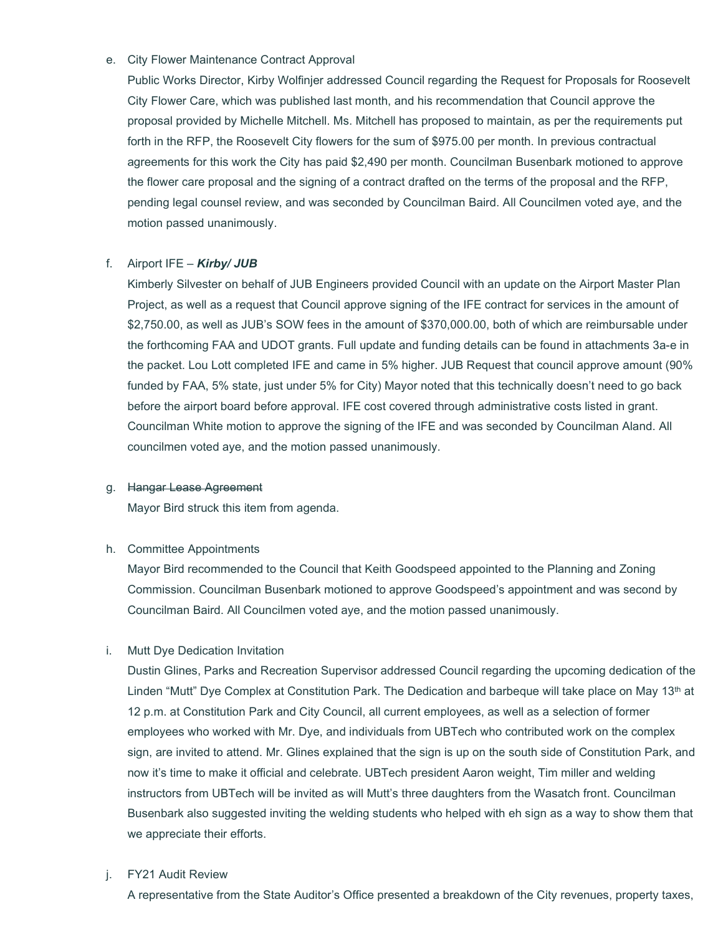# e. City Flower Maintenance Contract Approval

Public Works Director, Kirby Wolfinjer addressed Council regarding the Request for Proposals for Roosevelt City Flower Care, which was published last month, and his recommendation that Council approve the proposal provided by Michelle Mitchell. Ms. Mitchell has proposed to maintain, as per the requirements put forth in the RFP, the Roosevelt City flowers for the sum of \$975.00 per month. In previous contractual agreements for this work the City has paid \$2,490 per month. Councilman Busenbark motioned to approve the flower care proposal and the signing of a contract drafted on the terms of the proposal and the RFP, pending legal counsel review, and was seconded by Councilman Baird. All Councilmen voted aye, and the motion passed unanimously.

## f. Airport IFE – *Kirby/ JUB*

Kimberly Silvester on behalf of JUB Engineers provided Council with an update on the Airport Master Plan Project, as well as a request that Council approve signing of the IFE contract for services in the amount of \$2,750.00, as well as JUB's SOW fees in the amount of \$370,000.00, both of which are reimbursable under the forthcoming FAA and UDOT grants. Full update and funding details can be found in attachments 3a-e in the packet. Lou Lott completed IFE and came in 5% higher. JUB Request that council approve amount (90% funded by FAA, 5% state, just under 5% for City) Mayor noted that this technically doesn't need to go back before the airport board before approval. IFE cost covered through administrative costs listed in grant. Councilman White motion to approve the signing of the IFE and was seconded by Councilman Aland. All councilmen voted aye, and the motion passed unanimously.

### g. Hangar Lease Agreement

Mayor Bird struck this item from agenda.

### h. Committee Appointments

Mayor Bird recommended to the Council that Keith Goodspeed appointed to the Planning and Zoning Commission. Councilman Busenbark motioned to approve Goodspeed's appointment and was second by Councilman Baird. All Councilmen voted aye, and the motion passed unanimously.

# i. Mutt Dye Dedication Invitation

Dustin Glines, Parks and Recreation Supervisor addressed Council regarding the upcoming dedication of the Linden "Mutt" Dye Complex at Constitution Park. The Dedication and barbeque will take place on May 13<sup>th</sup> at 12 p.m. at Constitution Park and City Council, all current employees, as well as a selection of former employees who worked with Mr. Dye, and individuals from UBTech who contributed work on the complex sign, are invited to attend. Mr. Glines explained that the sign is up on the south side of Constitution Park, and now it's time to make it official and celebrate. UBTech president Aaron weight, Tim miller and welding instructors from UBTech will be invited as will Mutt's three daughters from the Wasatch front. Councilman Busenbark also suggested inviting the welding students who helped with eh sign as a way to show them that we appreciate their efforts.

### j. FY21 Audit Review

A representative from the State Auditor's Office presented a breakdown of the City revenues, property taxes,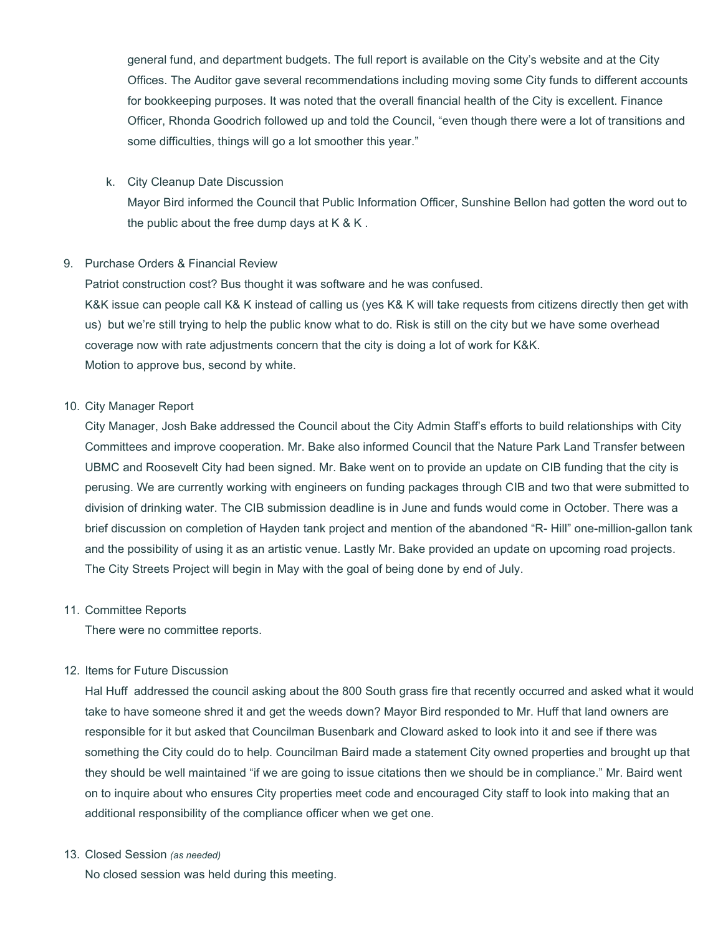general fund, and department budgets. The full report is available on the City's website and at the City Offices. The Auditor gave several recommendations including moving some City funds to different accounts for bookkeeping purposes. It was noted that the overall financial health of the City is excellent. Finance Officer, Rhonda Goodrich followed up and told the Council, "even though there were a lot of transitions and some difficulties, things will go a lot smoother this year."

k. City Cleanup Date Discussion

Mayor Bird informed the Council that Public Information Officer, Sunshine Bellon had gotten the word out to the public about the free dump days at  $K & K$ .

### 9. Purchase Orders & Financial Review

Patriot construction cost? Bus thought it was software and he was confused.

K&K issue can people call K& K instead of calling us (yes K& K will take requests from citizens directly then get with us) but we're still trying to help the public know what to do. Risk is still on the city but we have some overhead coverage now with rate adjustments concern that the city is doing a lot of work for K&K. Motion to approve bus, second by white.

## 10. City Manager Report

City Manager, Josh Bake addressed the Council about the City Admin Staff's efforts to build relationships with City Committees and improve cooperation. Mr. Bake also informed Council that the Nature Park Land Transfer between UBMC and Roosevelt City had been signed. Mr. Bake went on to provide an update on CIB funding that the city is perusing. We are currently working with engineers on funding packages through CIB and two that were submitted to division of drinking water. The CIB submission deadline is in June and funds would come in October. There was a brief discussion on completion of Hayden tank project and mention of the abandoned "R- Hill" one-million-gallon tank and the possibility of using it as an artistic venue. Lastly Mr. Bake provided an update on upcoming road projects. The City Streets Project will begin in May with the goal of being done by end of July.

### 11. Committee Reports

There were no committee reports.

# 12. Items for Future Discussion

Hal Huff addressed the council asking about the 800 South grass fire that recently occurred and asked what it would take to have someone shred it and get the weeds down? Mayor Bird responded to Mr. Huff that land owners are responsible for it but asked that Councilman Busenbark and Cloward asked to look into it and see if there was something the City could do to help. Councilman Baird made a statement City owned properties and brought up that they should be well maintained "if we are going to issue citations then we should be in compliance." Mr. Baird went on to inquire about who ensures City properties meet code and encouraged City staff to look into making that an additional responsibility of the compliance officer when we get one.

### 13. Closed Session *(as needed)*

No closed session was held during this meeting.